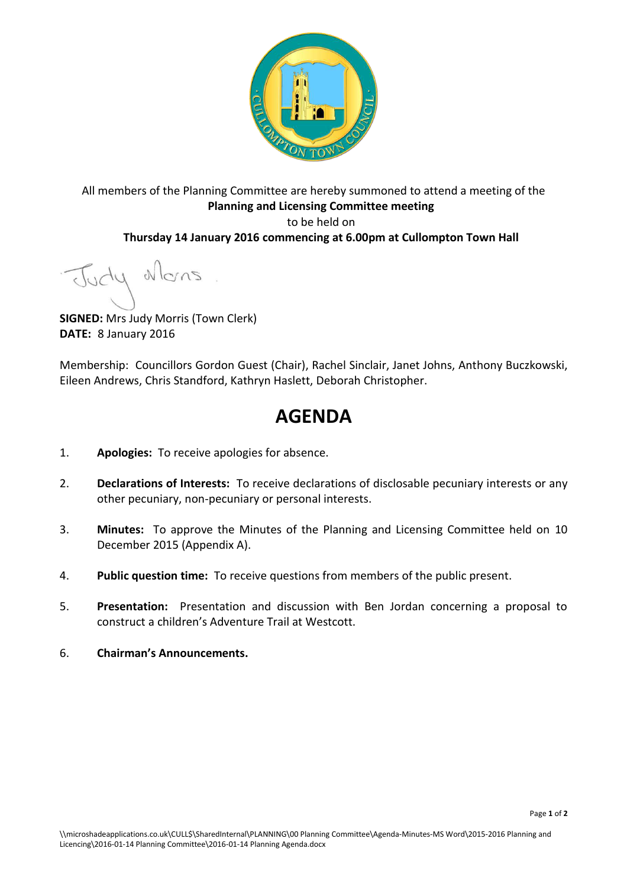

All members of the Planning Committee are hereby summoned to attend a meeting of the **Planning and Licensing Committee meeting**  to be held on **Thursday 14 January 2016 commencing at 6.00pm at Cullompton Town Hall** 

Judy Mons

**SIGNED:** Mrs Judy Morris (Town Clerk) **DATE:** 8 January 2016

Membership: Councillors Gordon Guest (Chair), Rachel Sinclair, Janet Johns, Anthony Buczkowski, Eileen Andrews, Chris Standford, Kathryn Haslett, Deborah Christopher.

# **AGENDA**

- 1. **Apologies:** To receive apologies for absence.
- 2. **Declarations of Interests:** To receive declarations of disclosable pecuniary interests or any other pecuniary, non-pecuniary or personal interests.
- 3. **Minutes:** To approve the Minutes of the Planning and Licensing Committee held on 10 December 2015 (Appendix A).
- 4. **Public question time:** To receive questions from members of the public present.
- 5. **Presentation:** Presentation and discussion with Ben Jordan concerning a proposal to construct a children's Adventure Trail at Westcott.
- 6. **Chairman's Announcements.**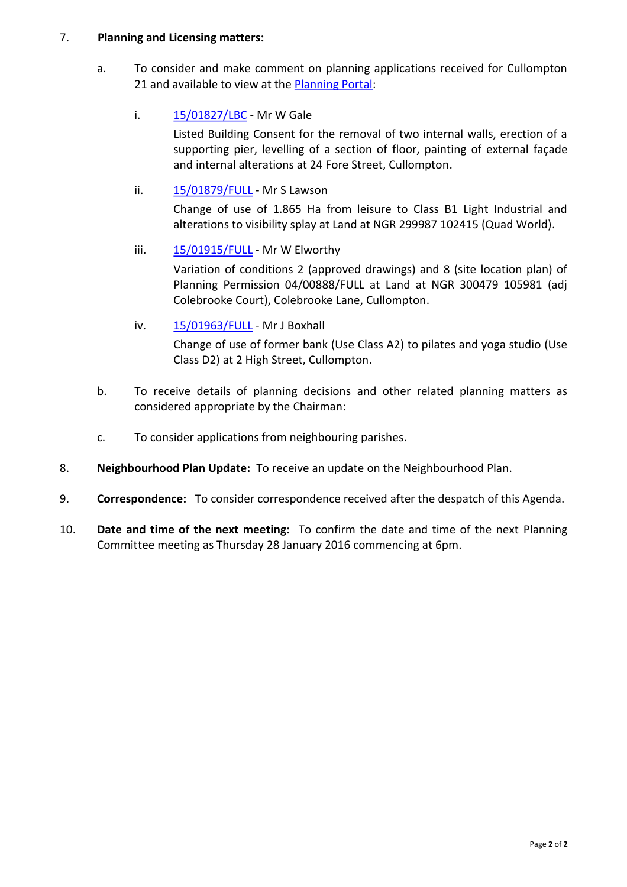## 7. **Planning and Licensing matters:**

a. To consider and make comment on planning applications received for Cullompton 21 and available to view at the **Planning Portal:** 

## i. [15/01827/LBC](http://docs.middevon.gov.uk/pap/index.asp?caseref=15/01827/LBC) - Mr W Gale

Listed Building Consent for the removal of two internal walls, erection of a supporting pier, levelling of a section of floor, painting of external façade and internal alterations at 24 Fore Street, Cullompton.

# ii. [15/01879/FULL](http://docs.middevon.gov.uk/pap/index.asp?caseref=15/01879/FULL) - Mr S Lawson

Change of use of 1.865 Ha from leisure to Class B1 Light Industrial and alterations to visibility splay at Land at NGR 299987 102415 (Quad World).

# iii. [15/01915/FULL](http://docs.middevon.gov.uk/pap/index.asp?caseref=15/01915/FULL) - Mr W Elworthy

Variation of conditions 2 (approved drawings) and 8 (site location plan) of Planning Permission 04/00888/FULL at Land at NGR 300479 105981 (adj Colebrooke Court), Colebrooke Lane, Cullompton.

# iv. [15/01963/FULL](http://docs.middevon.gov.uk/pap/index.asp?caseref=15/01963/FULL) - Mr J Boxhall

Change of use of former bank (Use Class A2) to pilates and yoga studio (Use Class D2) at 2 High Street, Cullompton.

- b. To receive details of planning decisions and other related planning matters as considered appropriate by the Chairman:
- c. To consider applications from neighbouring parishes.
- 8. **Neighbourhood Plan Update:** To receive an update on the Neighbourhood Plan.
- 9. **Correspondence:** To consider correspondence received after the despatch of this Agenda.
- 10. **Date and time of the next meeting:** To confirm the date and time of the next Planning Committee meeting as Thursday 28 January 2016 commencing at 6pm.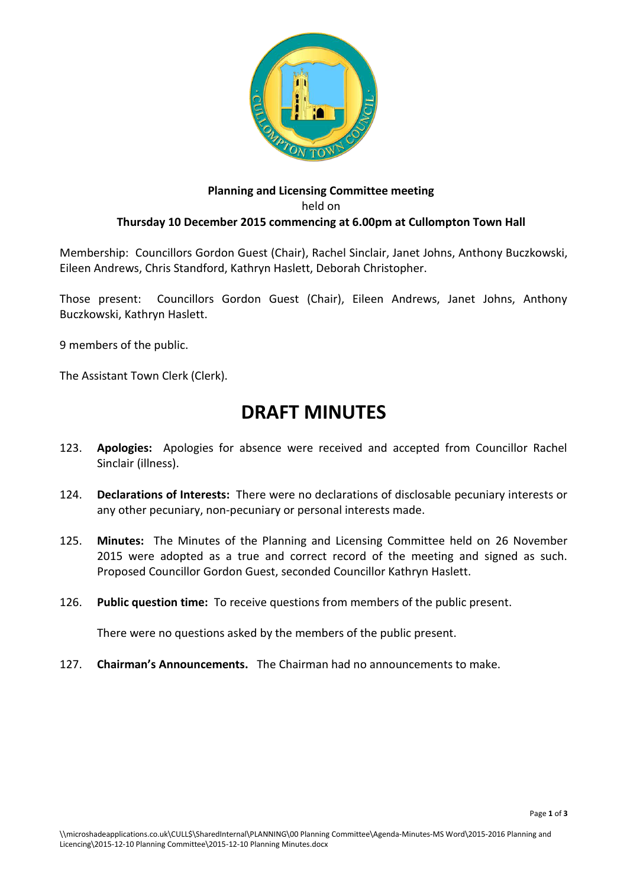

## **Planning and Licensing Committee meeting**  held on **Thursday 10 December 2015 commencing at 6.00pm at Cullompton Town Hall**

Membership: Councillors Gordon Guest (Chair), Rachel Sinclair, Janet Johns, Anthony Buczkowski, Eileen Andrews, Chris Standford, Kathryn Haslett, Deborah Christopher.

Those present: Councillors Gordon Guest (Chair), Eileen Andrews, Janet Johns, Anthony Buczkowski, Kathryn Haslett.

9 members of the public.

The Assistant Town Clerk (Clerk).

# **DRAFT MINUTES**

- 123. **Apologies:** Apologies for absence were received and accepted from Councillor Rachel Sinclair (illness).
- 124. **Declarations of Interests:** There were no declarations of disclosable pecuniary interests or any other pecuniary, non-pecuniary or personal interests made.
- 125. **Minutes:** The Minutes of the Planning and Licensing Committee held on 26 November 2015 were adopted as a true and correct record of the meeting and signed as such. Proposed Councillor Gordon Guest, seconded Councillor Kathryn Haslett.
- 126. **Public question time:** To receive questions from members of the public present.

There were no questions asked by the members of the public present.

127. **Chairman's Announcements.** The Chairman had no announcements to make.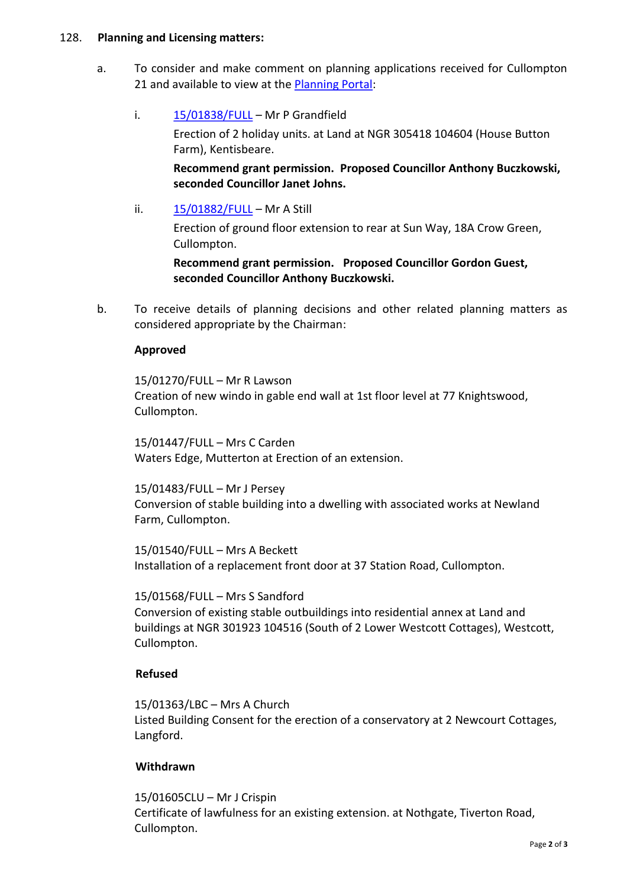#### 128. **Planning and Licensing matters:**

a. To consider and make comment on planning applications received for Cullompton 21 and available to view at the **Planning Portal:** 

## i.  $15/01838/FULL - Mr P Grandfield$  $15/01838/FULL - Mr P Grandfield$

Erection of 2 holiday units. at Land at NGR 305418 104604 (House Button Farm), Kentisbeare.

**Recommend grant permission. Proposed Councillor Anthony Buczkowski, seconded Councillor Janet Johns.**

ii.  $15/01882/FULL - Mr A Still$  $15/01882/FULL - Mr A Still$ 

Erection of ground floor extension to rear at Sun Way, 18A Crow Green, Cullompton.

**Recommend grant permission. Proposed Councillor Gordon Guest, seconded Councillor Anthony Buczkowski.** 

b. To receive details of planning decisions and other related planning matters as considered appropriate by the Chairman:

### **Approved**

15/01270/FULL – Mr R Lawson Creation of new windo in gable end wall at 1st floor level at 77 Knightswood, Cullompton.

15/01447/FULL – Mrs C Carden Waters Edge, Mutterton at Erection of an extension.

15/01483/FULL – Mr J Persey Conversion of stable building into a dwelling with associated works at Newland Farm, Cullompton.

15/01540/FULL – Mrs A Beckett Installation of a replacement front door at 37 Station Road, Cullompton.

15/01568/FULL – Mrs S Sandford Conversion of existing stable outbuildings into residential annex at Land and buildings at NGR 301923 104516 (South of 2 Lower Westcott Cottages), Westcott, Cullompton.

### **Refused**

15/01363/LBC – Mrs A Church Listed Building Consent for the erection of a conservatory at 2 Newcourt Cottages, Langford.

### **Withdrawn**

15/01605CLU – Mr J Crispin Certificate of lawfulness for an existing extension. at Nothgate, Tiverton Road, Cullompton.